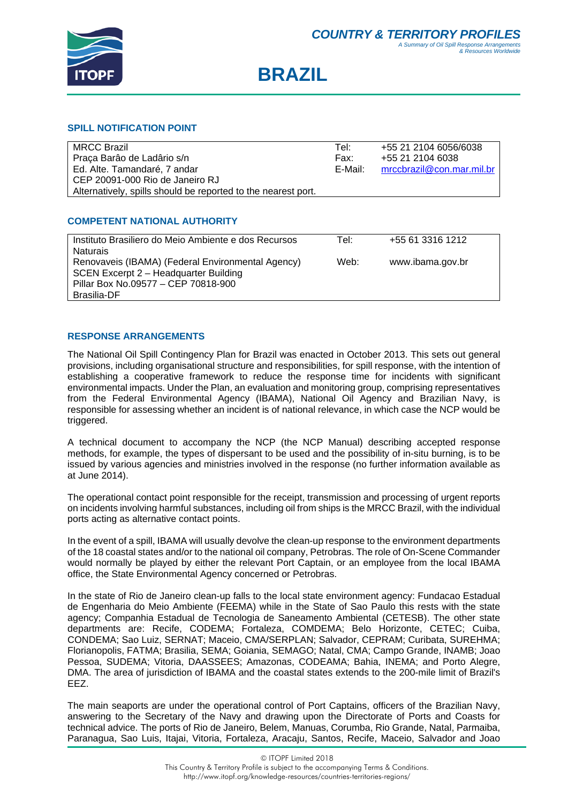

# **BRAZIL**

#### **SPILL NOTIFICATION POINT**

| <b>MRCC Brazil</b>                                            | Tel:    | +55 21 2104 6056/6038     |
|---------------------------------------------------------------|---------|---------------------------|
| Praça Barão de Ladârio s/n                                    | Fax:    | +55 21 2104 6038          |
| Ed. Alte. Tamandaré, 7 andar                                  | E-Mail: | mrccbrazil@con.mar.mil.br |
| CEP 20091-000 Rio de Janeiro RJ                               |         |                           |
| Alternatively, spills should be reported to the nearest port. |         |                           |

# **COMPETENT NATIONAL AUTHORITY**

| Instituto Brasiliero do Meio Ambiente e dos Recursos | Tel: | +55 61 3316 1212 |  |
|------------------------------------------------------|------|------------------|--|
| <b>Naturais</b>                                      |      |                  |  |
| Renovaveis (IBAMA) (Federal Environmental Agency)    | Web: | www.ibama.gov.br |  |
| SCEN Excerpt 2 - Headquarter Building                |      |                  |  |
| Pillar Box No.09577 - CEP 70818-900                  |      |                  |  |
| Brasilia-DF                                          |      |                  |  |
|                                                      |      |                  |  |

# **RESPONSE ARRANGEMENTS**

The National Oil Spill Contingency Plan for Brazil was enacted in October 2013. This sets out general provisions, including organisational structure and responsibilities, for spill response, with the intention of establishing a cooperative framework to reduce the response time for incidents with significant environmental impacts. Under the Plan, an evaluation and monitoring group, comprising representatives from the Federal Environmental Agency (IBAMA), National Oil Agency and Brazilian Navy, is responsible for assessing whether an incident is of national relevance, in which case the NCP would be triggered.

A technical document to accompany the NCP (the NCP Manual) describing accepted response methods, for example, the types of dispersant to be used and the possibility of in-situ burning, is to be issued by various agencies and ministries involved in the response (no further information available as at June 2014).

The operational contact point responsible for the receipt, transmission and processing of urgent reports on incidents involving harmful substances, including oil from ships is the MRCC Brazil, with the individual ports acting as alternative contact points.

In the event of a spill, IBAMA will usually devolve the clean-up response to the environment departments of the 18 coastal states and/or to the national oil company, Petrobras. The role of On-Scene Commander would normally be played by either the relevant Port Captain, or an employee from the local IBAMA office, the State Environmental Agency concerned or Petrobras.

In the state of Rio de Janeiro clean-up falls to the local state environment agency: Fundacao Estadual de Engenharia do Meio Ambiente (FEEMA) while in the State of Sao Paulo this rests with the state agency; Companhia Estadual de Tecnologia de Saneamento Ambiental (CETESB). The other state departments are: Recife, CODEMA; Fortaleza, COMDEMA; Belo Horizonte, CETEC; Cuiba, CONDEMA; Sao Luiz, SERNAT; Maceio, CMA/SERPLAN; Salvador, CEPRAM; Curibata, SUREHMA; Florianopolis, FATMA; Brasilia, SEMA; Goiania, SEMAGO; Natal, CMA; Campo Grande, INAMB; Joao Pessoa, SUDEMA; Vitoria, DAASSEES; Amazonas, CODEAMA; Bahia, INEMA; and Porto Alegre, DMA. The area of jurisdiction of IBAMA and the coastal states extends to the 200-mile limit of Brazil's EEZ.

The main seaports are under the operational control of Port Captains, officers of the Brazilian Navy, answering to the Secretary of the Navy and drawing upon the Directorate of Ports and Coasts for technical advice. The ports of Rio de Janeiro, Belem, Manuas, Corumba, Rio Grande, Natal, Parmaiba, Paranagua, Sao Luis, Itajai, Vitoria, Fortaleza, Aracaju, Santos, Recife, Maceio, Salvador and Joao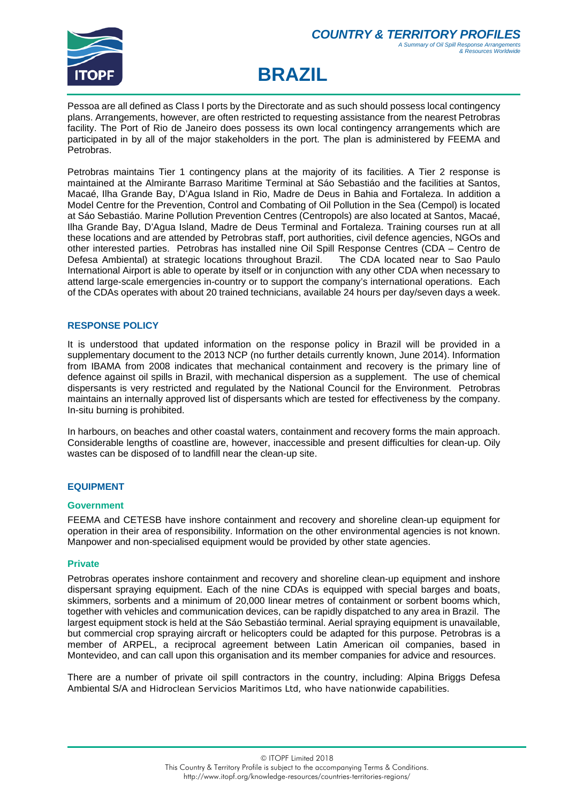

# **BRAZIL**

Pessoa are all defined as Class I ports by the Directorate and as such should possess local contingency plans. Arrangements, however, are often restricted to requesting assistance from the nearest Petrobras facility. The Port of Rio de Janeiro does possess its own local contingency arrangements which are participated in by all of the major stakeholders in the port. The plan is administered by FEEMA and Petrobras.

Petrobras maintains Tier 1 contingency plans at the majority of its facilities. A Tier 2 response is maintained at the Almirante Barraso Maritime Terminal at Sáo Sebastiáo and the facilities at Santos, Macaé, Ilha Grande Bay, D'Agua Island in Rio, Madre de Deus in Bahia and Fortaleza. In addition a Model Centre for the Prevention, Control and Combating of Oil Pollution in the Sea (Cempol) is located at Sáo Sebastiáo. Marine Pollution Prevention Centres (Centropols) are also located at Santos, Macaé, Ilha Grande Bay, D'Agua Island, Madre de Deus Terminal and Fortaleza. Training courses run at all these locations and are attended by Petrobras staff, port authorities, civil defence agencies, NGOs and other interested parties. Petrobras has installed nine Oil Spill Response Centres (CDA – Centro de Defesa Ambiental) at strategic locations throughout Brazil. The CDA located near to Sao Paulo International Airport is able to operate by itself or in conjunction with any other CDA when necessary to attend large-scale emergencies in-country or to support the company's international operations. Each of the CDAs operates with about 20 trained technicians, available 24 hours per day/seven days a week.

# **RESPONSE POLICY**

It is understood that updated information on the response policy in Brazil will be provided in a supplementary document to the 2013 NCP (no further details currently known, June 2014). Information from IBAMA from 2008 indicates that mechanical containment and recovery is the primary line of defence against oil spills in Brazil, with mechanical dispersion as a supplement. The use of chemical dispersants is very restricted and regulated by the National Council for the Environment. Petrobras maintains an internally approved list of dispersants which are tested for effectiveness by the company. In-situ burning is prohibited.

In harbours, on beaches and other coastal waters, containment and recovery forms the main approach. Considerable lengths of coastline are, however, inaccessible and present difficulties for clean-up. Oily wastes can be disposed of to landfill near the clean-up site.

#### **EQUIPMENT**

#### **Government**

FEEMA and CETESB have inshore containment and recovery and shoreline clean-up equipment for operation in their area of responsibility. Information on the other environmental agencies is not known. Manpower and non-specialised equipment would be provided by other state agencies.

#### **Private**

Petrobras operates inshore containment and recovery and shoreline clean-up equipment and inshore dispersant spraying equipment. Each of the nine CDAs is equipped with special barges and boats, skimmers, sorbents and a minimum of 20,000 linear metres of containment or sorbent booms which, together with vehicles and communication devices, can be rapidly dispatched to any area in Brazil. The largest equipment stock is held at the Sáo Sebastiáo terminal. Aerial spraying equipment is unavailable, but commercial crop spraying aircraft or helicopters could be adapted for this purpose. Petrobras is a member of ARPEL, a reciprocal agreement between Latin American oil companies, based in Montevideo, and can call upon this organisation and its member companies for advice and resources.

There are a number of private oil spill contractors in the country, including: Alpina Briggs Defesa Ambiental S/A and Hidroclean Servicios Maritimos Ltd, who have nationwide capabilities.